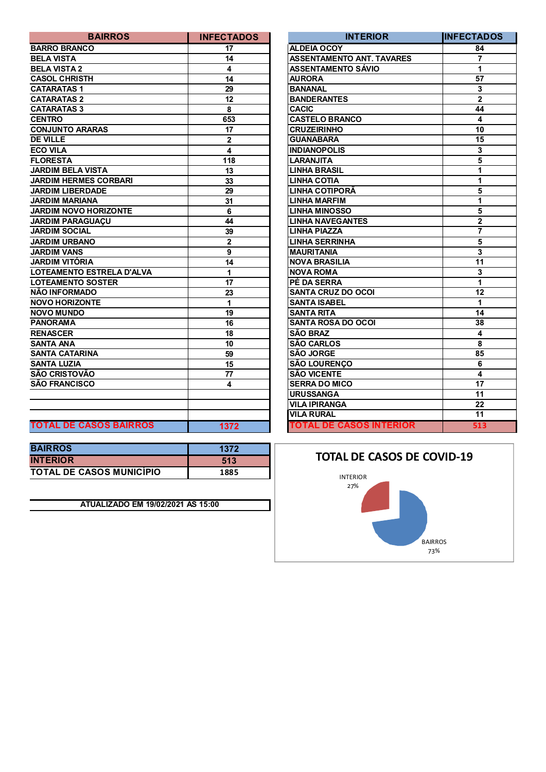| <b>BAIRROS</b>                | <b>INFECTADOS</b> | <b>INTERIOR</b>                  | <b>INFECTA</b>          |
|-------------------------------|-------------------|----------------------------------|-------------------------|
| <b>BARRO BRANCO</b>           | 17                | <b>ALDEIA OCOY</b>               | 84                      |
| <b>BELA VISTA</b>             | 14                | <b>ASSENTAMENTO ANT. TAVARES</b> | $\overline{7}$          |
| <b>BELA VISTA 2</b>           | 4                 | <b>ASSENTAMENTO SÁVIO</b>        | 1                       |
| <b>CASOL CHRISTH</b>          | 14                | <b>AURORA</b>                    | 57                      |
| <b>CATARATAS1</b>             | 29                | <b>BANANAL</b>                   | $\overline{\mathbf{3}}$ |
| <b>CATARATAS 2</b>            | 12                | <b>BANDERANTES</b>               | $\mathbf{2}$            |
| <b>CATARATAS 3</b>            | 8                 | <b>CACIC</b>                     | 44                      |
| <b>CENTRO</b>                 | 653               | <b>CASTELO BRANCO</b>            | 4                       |
| <b>CONJUNTO ARARAS</b>        | 17                | <b>CRUZEIRINHO</b>               | 10                      |
| <b>DE VILLE</b>               | $\mathbf{2}$      | <b>GUANABARA</b>                 | 15                      |
| <b>ECO VILA</b>               | 4                 | <b>INDIANOPOLIS</b>              | $\mathbf{3}$            |
| <b>FLORESTA</b>               | 118               | <b>LARANJITA</b>                 | $\overline{5}$          |
| <b>JARDIM BELA VISTA</b>      | 13                | <b>LINHA BRASIL</b>              | $\overline{1}$          |
| <b>JARDIM HERMES CORBARI</b>  | 33                | <b>LINHA COTIA</b>               | $\overline{1}$          |
| <b>JARDIM LIBERDADE</b>       | 29                | LINHA COTIPORÃ                   | $\overline{5}$          |
| <b>JARDIM MARIANA</b>         | 31                | <b>LINHA MARFIM</b>              | 1                       |
| <b>JARDIM NOVO HORIZONTE</b>  | 6                 | <b>LINHA MINOSSO</b>             | $\overline{\mathbf{5}}$ |
| <b>JARDIM PARAGUAÇU</b>       | 44                | <b>LINHA NAVEGANTES</b>          | $\overline{\mathbf{2}}$ |
| <b>JARDIM SOCIAL</b>          | 39                | <b>LINHA PIAZZA</b>              | $\overline{7}$          |
| <b>JARDIM URBANO</b>          | $\mathbf{2}$      | <b>LINHA SERRINHA</b>            | $\overline{5}$          |
| <b>JARDIM VANS</b>            | 9                 | <b>MAURITANIA</b>                | $\overline{\mathbf{3}}$ |
| <b>JARDIM VITÓRIA</b>         | 14                | <b>NOVA BRASILIA</b>             | 11                      |
| LOTEAMENTO ESTRELA D'ALVA     | 1                 | <b>NOVA ROMA</b>                 | $\overline{\mathbf{3}}$ |
| <b>LOTEAMENTO SOSTER</b>      | 17                | PÉ DA SERRA                      | $\mathbf{1}$            |
| NÃO INFORMADO                 | 23                | <b>SANTA CRUZ DO OCOI</b>        | 12                      |
| <b>NOVO HORIZONTE</b>         | 1                 | <b>SANTA ISABEL</b>              | $\mathbf{1}$            |
| <b>NOVO MUNDO</b>             | 19                | <b>SANTA RITA</b>                | 14                      |
| <b>PANORAMA</b>               | 16                | <b>SANTA ROSA DO OCOI</b>        | 38                      |
| <b>RENASCER</b>               | 18                | <b>SÃO BRAZ</b>                  | $\overline{\mathbf{4}}$ |
| <b>SANTA ANA</b>              | 10                | <b>SÃO CARLOS</b>                | 8                       |
| <b>SANTA CATARINA</b>         | 59                | <b>SÃO JORGE</b>                 | 85                      |
| <b>SANTA LUZIA</b>            | 15                | <b>SÃO LOURENÇO</b>              | $6\phantom{1}6$         |
| <b>SÃO CRISTOVÃO</b>          | 77                | <b>SÃO VICENTE</b>               | 4                       |
| SÃO FRANCISCO                 | 4                 | <b>SERRA DO MICO</b>             | $\overline{17}$         |
|                               |                   | <b>URUSSANGA</b>                 | 11                      |
|                               |                   | <b>VILA IPIRANGA</b>             | 22                      |
|                               |                   | <b>VILA RURAL</b>                | 11                      |
| <b>TOTAL DE CASOS BAIRROS</b> | 1372              | <b>TOTAL DE CASOS INTERIOR</b>   | 51                      |

| <b>BAIRROS</b>                  | 1372 |
|---------------------------------|------|
| <b>INTERIOR</b>                 | 513  |
| <b>TOTAL DE CASOS MUNICÍPIO</b> | 1885 |

**ATUALIZADO EM 19/02/2021 ÀS 15:00**

| <b>BAIRROS</b>                | <b>INFECTADOS</b> | <b>INTERIOR</b>                  | <b>INFECTADOS</b> |
|-------------------------------|-------------------|----------------------------------|-------------------|
| <b>BARRO BRANCO</b>           | 17                | <b>ALDEIA OCOY</b>               | 84                |
| <b>BELA VISTA</b>             | 14                | <b>ASSENTAMENTO ANT. TAVARES</b> | $\overline{7}$    |
| <b>BELA VISTA 2</b>           | 4                 | <b>ASSENTAMENTO SÁVIO</b>        | 1                 |
| <b>CASOL CHRISTH</b>          | 14                | <b>AURORA</b>                    | 57                |
| <b>CATARATAS 1</b>            | 29                | <b>BANANAL</b>                   | $\mathbf{3}$      |
| <b>CATARATAS 2</b>            | 12                | <b>BANDERANTES</b>               | $\overline{2}$    |
| <b>CATARATAS 3</b>            | 8                 | <b>CACIC</b>                     | 44                |
| <b>CENTRO</b>                 | 653               | <b>CASTELO BRANCO</b>            | 4                 |
| <b>CONJUNTO ARARAS</b>        | 17                | <b>CRUZEIRINHO</b>               | 10                |
| <b>DE VILLE</b>               | $\mathbf 2$       | <b>GUANABARA</b>                 | 15                |
| ECO VILA                      | 4                 | <b>INDIANOPOLIS</b>              | 3                 |
| <b>FLORESTA</b>               | 118               | <b>LARANJITA</b>                 | 5                 |
| <b>JARDIM BELA VISTA</b>      | 13                | <b>LINHA BRASIL</b>              | 1                 |
| <b>JARDIM HERMES CORBARI</b>  | 33                | <b>LINHA COTIA</b>               | 1                 |
| <b>JARDIM LIBERDADE</b>       | 29                | LINHA COTIPORA                   | 5                 |
| <b>JARDIM MARIANA</b>         | 31                | <b>LINHA MARFIM</b>              | 1                 |
| <b>JARDIM NOVO HORIZONTE</b>  | 6                 | <b>LINHA MINOSSO</b>             | 5                 |
| <b>JARDIM PARAGUAÇU</b>       | 44                | <b>LINHA NAVEGANTES</b>          | $\overline{2}$    |
| <b>JARDIM SOCIAL</b>          | 39                | <b>LINHA PIAZZA</b>              | 7                 |
| <b>JARDIM URBANO</b>          | $\overline{2}$    | <b>LINHA SERRINHA</b>            | 5                 |
| <b>JARDIM VANS</b>            | 9                 | <b>MAURITANIA</b>                | 3                 |
| JARDIM VITÓRIA                | 14                | <b>NOVA BRASILIA</b>             | 11                |
| LOTEAMENTO ESTRELA D'ALVA     | 1                 | <b>NOVA ROMA</b>                 | 3                 |
| <b>LOTEAMENTO SOSTER</b>      | 17                | PÉ DA SERRA                      | 1                 |
| NÃO INFORMADO                 | 23                | <b>SANTA CRUZ DO OCOI</b>        | 12                |
| <b>NOVO HORIZONTE</b>         | 1                 | <b>SANTA ISABEL</b>              | 1                 |
| <b>NOVO MUNDO</b>             | 19                | <b>SANTA RITA</b>                | 14                |
| <b>PANORAMA</b>               | 16                | <b>SANTA ROSA DO OCOI</b>        | 38                |
| <b>RENASCER</b>               | 18                | <b>SÃO BRAZ</b>                  | 4                 |
| <b>SANTA ANA</b>              | 10                | <b>SÃO CARLOS</b>                | 8                 |
| <b>SANTA CATARINA</b>         | 59                | <b>SÃO JORGE</b>                 | 85                |
| <b>SANTA LUZIA</b>            | 15                | <b>SÃO LOURENÇO</b>              | 6                 |
| SÃO CRISTOVÃO                 | 77                | <b>SÃO VICENTE</b>               | 4                 |
| SÃO FRANCISCO                 | 4                 | <b>SERRA DO MICO</b>             | 17                |
|                               |                   | <b>URUSSANGA</b>                 | 11                |
|                               |                   | <b>VILA IPIRANGA</b>             | 22                |
|                               |                   | <b>VILA RURAL</b>                | 11                |
| <b>TOTAL DE CASOS BAIRROS</b> | 1372              | <b>TOTAL DE CASOS INTERIOR</b>   | 513               |

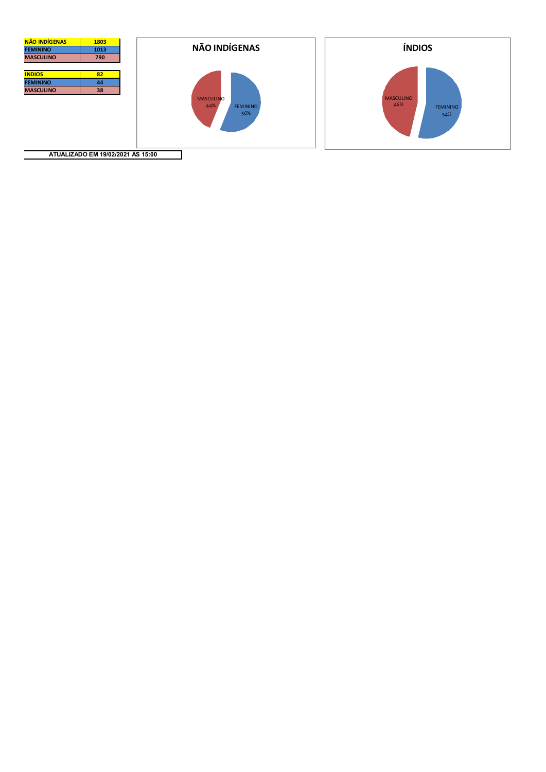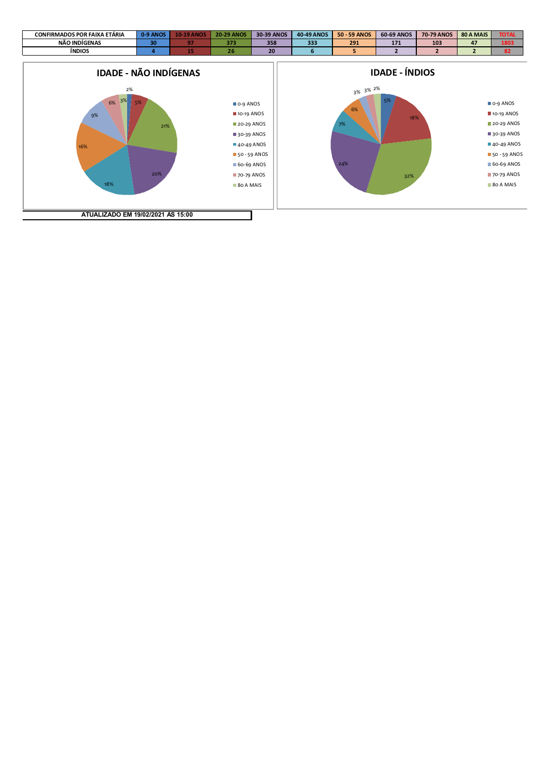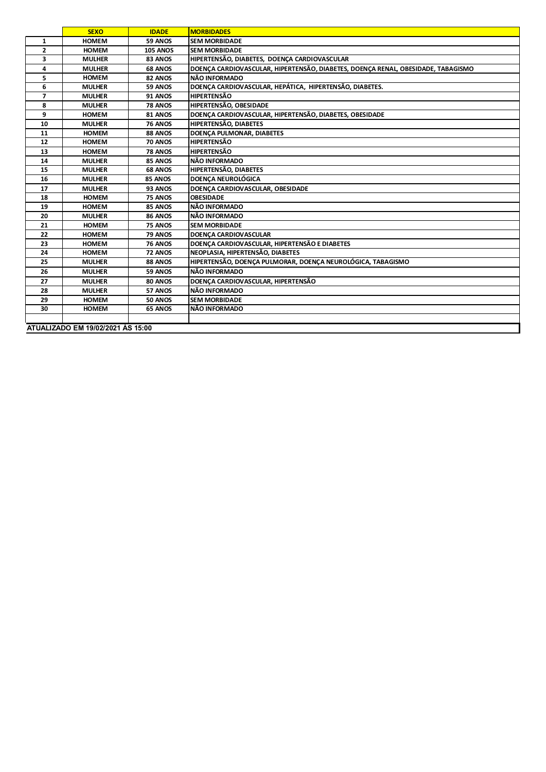|              | <b>SEXO</b>                       | <b>IDADE</b>    | <b>MORBIDADES</b>                                                                |  |  |
|--------------|-----------------------------------|-----------------|----------------------------------------------------------------------------------|--|--|
| $\mathbf{1}$ | <b>HOMEM</b>                      | 59 ANOS         | <b>SEM MORBIDADE</b>                                                             |  |  |
| $\mathbf{2}$ | <b>HOMEM</b>                      | <b>105 ANOS</b> | <b>SEM MORBIDADE</b>                                                             |  |  |
| 3            | <b>MULHER</b>                     | 83 ANOS         | HIPERTENSÃO, DIABETES, DOENÇA CARDIOVASCULAR                                     |  |  |
| 4            | <b>MULHER</b>                     | 68 ANOS         | DOENÇA CARDIOVASCULAR, HIPERTENSÃO, DIABETES, DOENÇA RENAL, OBESIDADE, TABAGISMO |  |  |
| 5            | <b>HOMEM</b>                      | 82 ANOS         | NÃO INFORMADO                                                                    |  |  |
| 6            | <b>MULHER</b>                     | 59 ANOS         | DOENÇA CARDIOVASCULAR, HEPÁTICA, HIPERTENSÃO, DIABETES.                          |  |  |
| 7            | <b>MULHER</b>                     | 91 ANOS         | <b>HIPERTENSÃO</b>                                                               |  |  |
| 8            | <b>MULHER</b>                     | 78 ANOS         | HIPERTENSÃO, OBESIDADE                                                           |  |  |
| 9            | <b>HOMEM</b>                      | 81 ANOS         | DOENÇA CARDIOVASCULAR, HIPERTENSÃO, DIABETES, OBESIDADE                          |  |  |
| 10           | <b>MULHER</b>                     | <b>76 ANOS</b>  | HIPERTENSÃO, DIABETES                                                            |  |  |
| 11           | <b>HOMEM</b>                      | 88 ANOS         | DOENÇA PULMONAR, DIABETES                                                        |  |  |
| 12           | <b>HOMEM</b>                      | 70 ANOS         | <b>HIPERTENSÃO</b>                                                               |  |  |
| 13           | <b>HOMEM</b>                      | 78 ANOS         | <b>HIPERTENSÃO</b>                                                               |  |  |
| 14           | <b>MULHER</b>                     | 85 ANOS         | NÃO INFORMADO                                                                    |  |  |
| 15           | <b>MULHER</b>                     | 68 ANOS         | HIPERTENSÃO, DIABETES                                                            |  |  |
| 16           | <b>MULHER</b>                     | 85 ANOS         | <b>DOENCA NEUROLÓGICA</b>                                                        |  |  |
| 17           | <b>MULHER</b>                     | 93 ANOS         | DOENCA CARDIOVASCULAR, OBESIDADE                                                 |  |  |
| 18           | <b>HOMEM</b>                      | 75 ANOS         | <b>OBESIDADE</b>                                                                 |  |  |
| 19           | <b>HOMEM</b>                      | 85 ANOS         | NÃO INFORMADO                                                                    |  |  |
| 20           | <b>MULHER</b>                     | 86 ANOS         | NÃO INFORMADO                                                                    |  |  |
| 21           | <b>HOMEM</b>                      | 75 ANOS         | <b>SEM MORBIDADE</b>                                                             |  |  |
| 22           | <b>HOMEM</b>                      | 79 ANOS         | DOENÇA CARDIOVASCULAR                                                            |  |  |
| 23           | <b>HOMEM</b>                      | <b>76 ANOS</b>  | DOENÇA CARDIOVASCULAR, HIPERTENSÃO E DIABETES                                    |  |  |
| 24           | <b>HOMEM</b>                      | 72 ANOS         | NEOPLASIA, HIPERTENSÃO, DIABETES                                                 |  |  |
| 25           | <b>MULHER</b>                     | 88 ANOS         | HIPERTENSÃO, DOENÇA PULMORAR, DOENÇA NEUROLÓGICA, TABAGISMO                      |  |  |
| 26           | <b>MULHER</b>                     | 59 ANOS         | NÃO INFORMADO                                                                    |  |  |
| 27           | <b>MULHER</b>                     | 80 ANOS         | DOENÇA CARDIOVASCULAR, HIPERTENSÃO                                               |  |  |
| 28           | <b>MULHER</b>                     | 57 ANOS         | NÃO INFORMADO                                                                    |  |  |
| 29           | <b>HOMEM</b>                      | 50 ANOS         | <b>SEM MORBIDADE</b>                                                             |  |  |
| 30           | <b>HOMEM</b>                      | 65 ANOS         | NÃO INFORMADO                                                                    |  |  |
|              |                                   |                 |                                                                                  |  |  |
|              | ATUALIZADO EM 19/02/2021 ÀS 15:00 |                 |                                                                                  |  |  |